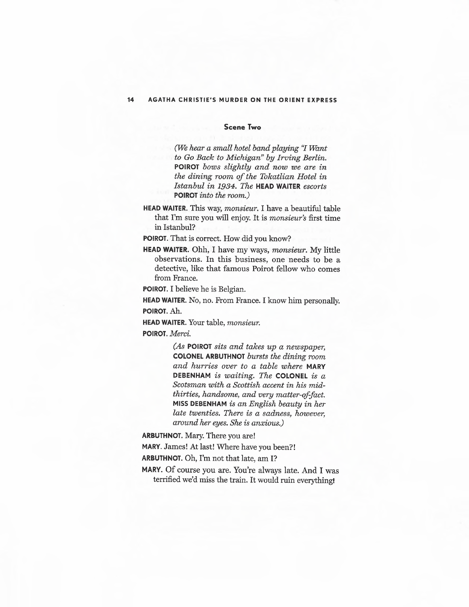## **Scene Two**

*(li'Ve hear a small hotel band playing 'T Want to Go Back to Michigan" by Irving Berlin.*  **POIROT** *bows slightly and now we are in the dining room of the Tokatlian Hotel in Istanbul in 1934. The* **HEAD WAITER** *escorts*  **POIROT** *into the room.)* 

**HEAD WAITER.** This way, *monsieur.* I have a beautiful table that I'm sure you will enjoy. It is *monsieur's* first time in Istanbul?

**POIROT.** That is correct. How did you know?

**HEAD WAITER.** Ohh, I have my ways, *monsieur.* My little observations. In this business, one needs to be a detective, like that famous Poirot fellow who comes from France.

**POIROT.** I believe he is Belgian.

**HEAD WAITER.** No, no. From France. I know him personally. **POIROT.Ah.** 

**HEAD WAITER.** Your table, *monsieur.* 

**POIROT.** *Merci.* 

*(As* **POIROT** *sits and takes up a newspaper,*  **COLONEL ARBUTHNOT** *bursts the dining room and hurries over to a table where* **MARY DEBENHAM** *is waiting. The* **COLONEL** *is a Scotsman with a Scottish accent in his midthirties, handsome, and very* matter-of-fact. **MISS DEBENHAM** *is an English beauty in her late twenties. There is a sadness, however, around her eyes. She is anxious.*)

**ARBUTHNOT.** Mary. There you are!

**MARY.** James! At last! Where have you been?!

**ARBUTHNOT.** Oh, I'm not that late, am I?

**MARY.** Of course you are. You're always late. And I was terrified we'd miss the train. It would ruin everything!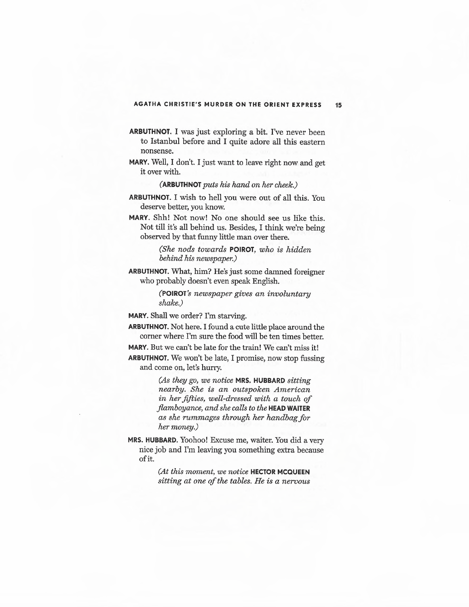- **ARBUTHNOT.** I was just exploring a bit. I've never been to Istanbul before and I quite adore all this eastern nonsense.
- **MARY.** Well, I don't. I just want to leave right now and get it over with.

**(ARBUTHNOT** *puts his hand on her cheek.)* 

- **ARBUTHNOT.** I wish to hell you were out of all this. You deserve better, you know.
- **MARY.** Shh! Not now! No one should see us like this. Not till it's all behind us. Besides, I think we're being observed by that funny little man over there.

*(She nods towards* **POIROT,** *who is hidden behind his newspaper.)* 

**ARBUTHNOT.** What, him? He's just some damned foreigner who probably doesn't even speak English.

> **(POIROT's** *newspaper gives an involuntary shake.)*

**MARY.** Shall we order? I'm starving.

**ARBUTHNOT.** Not here. I found a cute little place around the corner where I'm sure the food will be ten times better.

**MARY.** But we can't be late for the train! We can't miss it!

**ARBUTHNOT.** We won't be late, I promise, now stop fussing and come on, let's hurry.

> *(As they go, we notice* **MRS. HUBBARD** *sitting nearby. She is an outspoken American in her fifties, well-dressed with a touch of flamboyance, and she calls to the* **HEAD WAITER**  *as she rummages through her handbag for her money.)*

**MRS. HUBBARD.** Yoohoo! Excuse me, waiter. You did a very nice job and I'm leaving you something extra because ofit.

> *(At this moment, we notice* **HECTOR MCQUEEN**  *sitting at one of the tables. He is a nervous*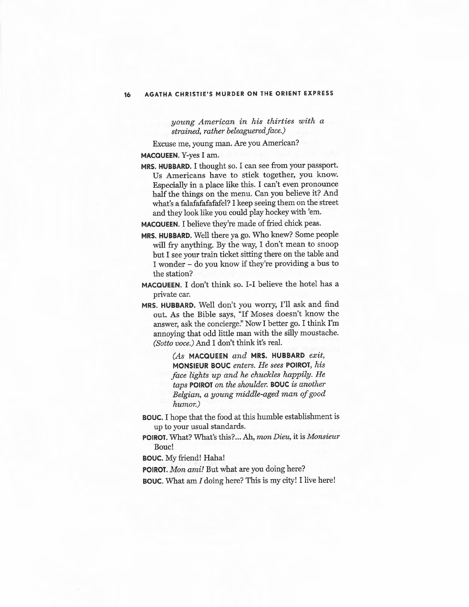*young American in his thirties with a strained, rather beleagueredface.)* 

Excuse me, young man. Are you American?

**MACQUEEN.** Y-yes I am.

**MRS. HUBBARD.** I thought so. I can see from your passport. Us Americans have to stick together, you know. Especially in a place like this. I can't even pronounce half the things on the menu. Can you believe it? And what's a falafafafafafel? I keep seeing them on the street and they look like you could play hockey with 'em.

**MACQUEEN.** I believe they're made of fried chick peas.

- **MRS. HUBBARD.** Well there ya go. Who knew? Some people will fry anything. By the way, I don't mean to snoop but I see your train ticket sitting there on the table and I wonder - do you know if they're providing a bus to the station?
- **MACQUEEN.** I don't think so. I-I believe the hotel has a private car.
- **MRS. HUBBARD.** Well don't you worry, I'll ask and find out. As the Bible says, "If Moses doesn't know the answer, ask the concierge:' Now I better go. I think I'm annoying that odd little man with the silly moustache. *(Sotto voce.)* And I don't think it's real.

*(As* **MACQUEEN** *and* **MRS. HUBBARD** *exit,*  **MONSIEUR BOUC** *enters. He sees* **POIROT,** *his face lights up and he chuckles happily. He taps* **POIROT** *on the shoulder.* **BOUC** *is another Belgian, a young middle-aged man of good humor.)* 

- **BOUC.** I hope that the food at this humble establishment is up to your usual standards.
- **POIROT.** What? What's this? ... Ah, *mon Dieu,* it is *Monsieur*  Bouc!

**BOUC.** My friend! Haha!

**POIROT.** *Mon ami!* But what are you doing here?

**BOUC.** What am *I* doing here? This is my city! I live here!